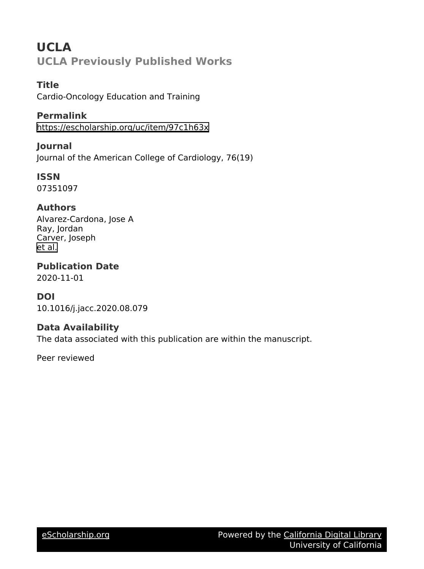# **UCLA UCLA Previously Published Works**

**Title** Cardio-Oncology Education and Training

**Permalink** <https://escholarship.org/uc/item/97c1h63x>

**Journal** Journal of the American College of Cardiology, 76(19)

**ISSN** 07351097

## **Authors**

Alvarez-Cardona, Jose A Ray, Jordan Carver, Joseph [et al.](https://escholarship.org/uc/item/97c1h63x#author)

**Publication Date** 2020-11-01

### **DOI**

10.1016/j.jacc.2020.08.079

### **Data Availability**

The data associated with this publication are within the manuscript.

Peer reviewed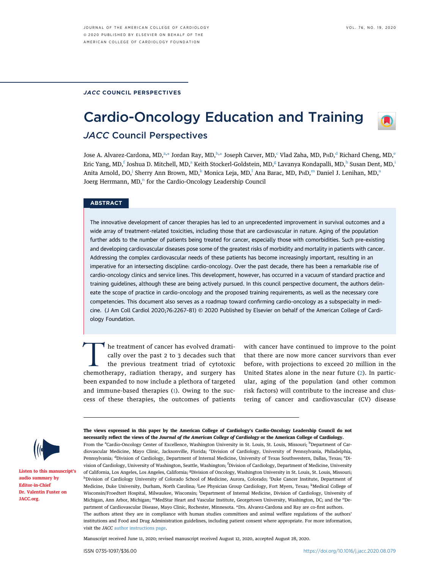#### JACC COUNCIL PERSPECTIVES

# Cardio-Oncology Education and Training



### JACC Council Perspectives

Jose A. Alv[a](#page-1-0)rez-Cardona, MD,<sup>a,</sup>[\\*](#page-1-1) Jordan Ray, MD,<sup>[b,](#page-1-0)\*</sup> Joseph Carver, MD,<sup>[c](#page-1-2)</sup> Vla[d](#page-1-3) Zaha, MD, PHD,<sup>d</sup> Richard Ch[e](#page-1-3)ng, MD,<sup>e</sup> Eric Yang, MD,<sup>[f](#page-1-4)</sup> Joshu[a](#page-1-0) D. Mitchell, MD,<sup>a</sup> Keith Stockerl-Goldstein, MD,<sup>[g](#page-1-5)</sup> Lavanya Kondapalli, MD,<sup>[h](#page-1-5)</sup> Susan Dent, MD,<sup>[i](#page-1-6)</sup> Anita Arnold, DO,<sup>[j](#page-1-7)</sup> Sherry Ann Brown, MD,<sup>[k](#page-1-7)</sup> Monica Leja, MD,<sup>[l](#page-1-8)</sup> Ana Barac, MD, P<sub>H</sub>D,<sup>[m](#page-1-9)</sup> D[a](#page-1-0)niel J. Lenihan, MD,<sup>a</sup> Joerg Herrmann,  $MD<sub>1</sub><sup>n</sup>$  for the Cardio-Oncology Leadership Council

#### **ABSTRACT**

The innovative development of cancer therapies has led to an unprecedented improvement in survival outcomes and a wide array of treatment-related toxicities, including those that are cardiovascular in nature. Aging of the population further adds to the number of patients being treated for cancer, especially those with comorbidities. Such pre-existing and developing cardiovascular diseases pose some of the greatest risks of morbidity and mortality in patients with cancer. Addressing the complex cardiovascular needs of these patients has become increasingly important, resulting in an imperative for an intersecting discipline: cardio-oncology. Over the past decade, there has been a remarkable rise of cardio-oncology clinics and service lines. This development, however, has occurred in a vacuum of standard practice and training guidelines, although these are being actively pursued. In this council perspective document, the authors delineate the scope of practice in cardio-oncology and the proposed training requirements, as well as the necessary core competencies. This document also serves as a roadmap toward confirming cardio-oncology as a subspecialty in medicine. (J Am Coll Cardiol 2020;76:2267–81) © 2020 Published by Elsevier on behalf of the American College of Cardiology Foundation.

The treatment of cancer has evolved dramatically over the past 2 to 3 decades such that the previous treatment triad of cytotoxic chemotherapy, radiation therapy, and surgery has been expanded to now include a plethora of targeted and immune-based therapies [\(1\)](#page-14-0). Owing to the success of these therapies, the outcomes of patients

with cancer have continued to improve to the point that there are now more cancer survivors than ever before, with projections to exceed 20 million in the United States alone in the near future ([2](#page-14-1)). In particular, aging of the population (and other common risk factors) will contribute to the increase and clustering of cancer and cardiovascular (CV) disease



[Listen to this manuscript](http://www.onlinejacc.org/podcasts)'s [audio summary by](http://www.onlinejacc.org/podcasts) [Editor-in-Chief](http://www.onlinejacc.org/podcasts) [Dr. Valentin Fuster on](http://www.onlinejacc.org/podcasts) [JACC.org](http://www.onlinejacc.org/).

<span id="page-1-6"></span><span id="page-1-5"></span><span id="page-1-4"></span><span id="page-1-3"></span><span id="page-1-2"></span><span id="page-1-0"></span>The views expressed in this paper by the American College of Cardiology's Cardio-Oncology Leadership Council do not necessarily reflect the views of the Journal of the American College of Cardiology or the American College of Cardiology. From the <sup>a</sup>Cardio-Oncology Center of Excellence, Washington University in St. Louis, St. Louis, Missouri; <sup>b</sup>Department of Cardiovascular Medicine, Mayo Clinic, Jacksonville, Florida; 'Division of Cardiology, University of Pennsylvania, Philadelphia, Pennsylvania; <sup>d</sup>Division of Cardiology, Department of Internal Medicine, University of Texas Southwestern, Dallas, Texas; <sup>e</sup>Division of Cardiology, University of Washington, Seattle, Washington; <sup>f</sup>Division of Cardiology, Department of Medicine, University of California, Los Angeles, Los Angeles, California; <sup>g</sup>Division of Oncology, Washington University in St. Louis, St. Louis, Missouri; hDivision of Cardiology University of Colorado School of Medicine, Aurora, Colorado; <sup>i</sup>Duke Cancer Institute, Department of Medicine, Duke University, Durham, North Carolina; <sup>j</sup>Lee Physician Group Cardiology, Fort Myers, Texas; <sup>k</sup>Medical College of Wisconsin/Froedtert Hospital, Milwaukee, Wisconsin; <sup>1</sup>Department of Internal Medicine, Division of Cardiology, University of Michigan, Ann Arbor, Michigan; <sup>m</sup>MedStar Heart and Vascular Institute, Georgetown University, Washington, DC; and the <sup>n</sup>Department of Cardiovascular Disease, Mayo Clinic, Rochester, Minnesota. \*Drs. Alvarez-Cardona and Ray are co-first authors. The authors attest they are in compliance with human studies committees and animal welfare regulations of the authors' institutions and Food and Drug Administration guidelines, including patient consent where appropriate. For more information, visit the JACC [author instructions page](http://www.onlinejacc.org/content/instructions-authors).

<span id="page-1-9"></span><span id="page-1-8"></span><span id="page-1-7"></span><span id="page-1-1"></span>Manuscript received June 11, 2020; revised manuscript received August 12, 2020, accepted August 28, 2020.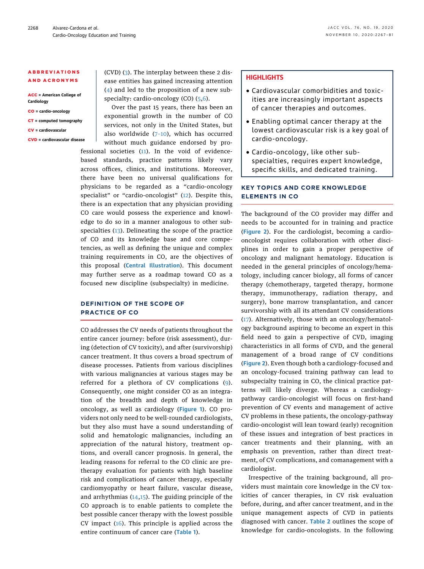#### ABBREVIATIONS AND ACRONYMS

ACC = American College of **Cardiology** 

- CO = cardio-oncology
- CT = computed tomography
- CV = cardiovascular

CVD = cardiovascular disease

(CVD) ([3\)](#page-14-2). The interplay between these 2 disease entities has gained increasing attention ([4\)](#page-14-3) and led to the proposition of a new sub-specialty: cardio-oncology (CO) ([5,](#page-14-4)[6](#page-14-5)).

Over the past 15 years, there has been an exponential growth in the number of CO services, not only in the United States, but also worldwide  $(7-10)$  $(7-10)$ , which has occurred without much guidance endorsed by professional societies ([11\)](#page-14-7). In the void of evidencebased standards, practice patterns likely vary across offices, clinics, and institutions. Moreover, there have been no universal qualifications for physicians to be regarded as a "cardio-oncology specialist" or "cardio-oncologist" ([12](#page-14-8)). Despite this, there is an expectation that any physician providing CO care would possess the experience and knowledge to do so in a manner analogous to other subspecialties ([13\)](#page-14-9). Delineating the scope of the practice of CO and its knowledge base and core competencies, as well as defining the unique and complex training requirements in CO, are the objectives of this proposal ([Central Illustration](#page-3-0)). This document may further serve as a roadmap toward CO as a focused new discipline (subspecialty) in medicine.

#### DEFINITION OF THE SCOPE OF PRACTICE OF CO

CO addresses the CV needs of patients throughout the entire cancer journey: before (risk assessment), during (detection of CV toxicity), and after (survivorship) cancer treatment. It thus covers a broad spectrum of disease processes. Patients from various disciplines with various malignancies at various stages may be referred for a plethora of CV complications ([9\)](#page-14-10). Consequently, one might consider CO as an integration of the breadth and depth of knowledge in oncology, as well as cardiology ([Figure 1](#page-4-0)). CO providers not only need to be well-rounded cardiologists, but they also must have a sound understanding of solid and hematologic malignancies, including an appreciation of the natural history, treatment options, and overall cancer prognosis. In general, the leading reasons for referral to the CO clinic are pretherapy evaluation for patients with high baseline risk and complications of cancer therapy, especially cardiomyopathy or heart failure, vascular disease, and arrhythmias  $(14,15)$  $(14,15)$  $(14,15)$ . The guiding principle of the CO approach is to enable patients to complete the best possible cancer therapy with the lowest possible CV impact [\(16\)](#page-15-0). This principle is applied across the entire continuum of cancer care ([Table 1](#page-5-0)).

#### **HIGHLIGHTS**

- Cardiovascular comorbidities and toxicities are increasingly important aspects of cancer therapies and outcomes.
- Enabling optimal cancer therapy at the lowest cardiovascular risk is a key goal of cardio-oncology.
- Cardio-oncology, like other subspecialties, requires expert knowledge, specific skills, and dedicated training.

#### KEY TOPICS AND CORE KNOWLEDGE ELEMENTS IN CO

The background of the CO provider may differ and needs to be accounted for in training and practice ([Figure 2](#page-6-0)). For the cardiologist, becoming a cardiooncologist requires collaboration with other disciplines in order to gain a proper perspective of oncology and malignant hematology. Education is needed in the general principles of oncology/hematology, including cancer biology, all forms of cancer therapy (chemotherapy, targeted therapy, hormone therapy, immunotherapy, radiation therapy, and surgery), bone marrow transplantation, and cancer survivorship with all its attendant CV considerations ([17\)](#page-15-1). Alternatively, those with an oncology/hematology background aspiring to become an expert in this field need to gain a perspective of CVD, imaging characteristics in all forms of CVD, and the general management of a broad range of CV conditions ([Figure 2](#page-6-0)). Even though both a cardiology-focused and an oncology-focused training pathway can lead to subspecialty training in CO, the clinical practice patterns will likely diverge. Whereas a cardiologypathway cardio-oncologist will focus on first-hand prevention of CV events and management of active CV problems in these patients, the oncology-pathway cardio-oncologist will lean toward (early) recognition of these issues and integration of best practices in cancer treatments and their planning, with an emphasis on prevention, rather than direct treatment, of CV complications, and comanagement with a cardiologist.

Irrespective of the training background, all providers must maintain core knowledge in the CV toxicities of cancer therapies, in CV risk evaluation before, during, and after cancer treatment, and in the unique management aspects of CVD in patients diagnosed with cancer. [Table 2](#page-8-0) outlines the scope of knowledge for cardio-oncologists. In the following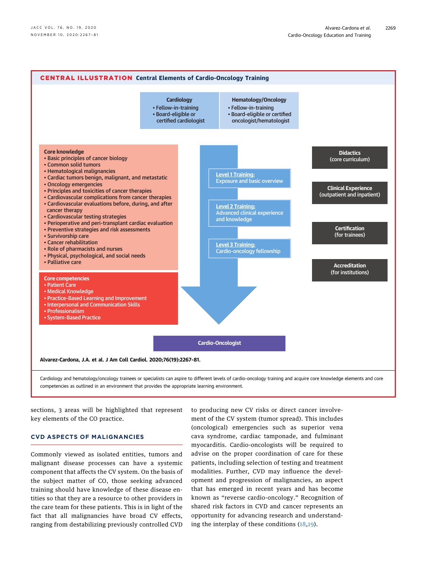<span id="page-3-0"></span>

sections, 3 areas will be highlighted that represent key elements of the CO practice.

#### CVD ASPECTS OF MALIGNANCIES

Commonly viewed as isolated entities, tumors and malignant disease processes can have a systemic component that affects the CV system. On the basis of the subject matter of CO, those seeking advanced training should have knowledge of these disease entities so that they are a resource to other providers in the care team for these patients. This is in light of the fact that all malignancies have broad CV effects, ranging from destabilizing previously controlled CVD

to producing new CV risks or direct cancer involvement of the CV system (tumor spread). This includes (oncological) emergencies such as superior vena cava syndrome, cardiac tamponade, and fulminant myocarditis. Cardio-oncologists will be required to advise on the proper coordination of care for these patients, including selection of testing and treatment modalities. Further, CVD may influence the development and progression of malignancies, an aspect that has emerged in recent years and has become known as "reverse cardio-oncology." Recognition of shared risk factors in CVD and cancer represents an opportunity for advancing research and understanding the interplay of these conditions ([18,](#page-15-2)[19\)](#page-15-3).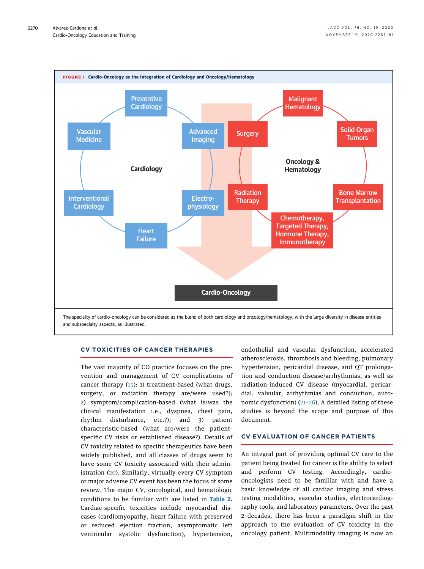<span id="page-4-0"></span>

#### CV TOXICITIES OF CANCER THERAPIES

The vast majority of CO practice focuses on the prevention and management of CV complications of cancer therapy  $(15)$  $(15)$ : 1) treatment-based (what drugs, surgery, or radiation therapy are/were used?); 2) symptom/complication-based (what is/was the clinical manifestation i.e., dyspnea, chest pain, rhythm disturbance, etc.?); and 3) patient characteristic-based (what are/were the patientspecific CV risks or established disease?). Details of CV toxicity related to specific therapeutics have been widely published, and all classes of drugs seem to have some CV toxicity associated with their administration ([20](#page-15-4)). Similarly, virtually every CV symptom or major adverse CV event has been the focus of some review. The major CV, oncological, and hematologic conditions to be familiar with are listed in [Table 2](#page-8-0). Cardiac-specific toxicities include myocardial diseases (cardiomyopathy, heart failure with preserved or reduced ejection fraction, asymptomatic left ventricular systolic dysfunction), hypertension,

endothelial and vascular dysfunction, accelerated atherosclerosis, thrombosis and bleeding, pulmonary hypertension, pericardial disease, and QT prolongation and conduction disease/arrhythmias, as well as radiation-induced CV disease (myocardial, pericardial, valvular, arrhythmias and conduction, autonomic dysfunction) (21–[26\)](#page-15-5). A detailed listing of these studies is beyond the scope and purpose of this document.

#### CV EVALUATION OF CANCER PATIENTS

An integral part of providing optimal CV care to the patient being treated for cancer is the ability to select and perform CV testing. Accordingly, cardiooncologists need to be familiar with and have a basic knowledge of all cardiac imaging and stress testing modalities, vascular studies, electrocardiography tools, and laboratory parameters. Over the past 2 decades, there has been a paradigm shift in the approach to the evaluation of CV toxicity in the oncology patient. Multimodality imaging is now an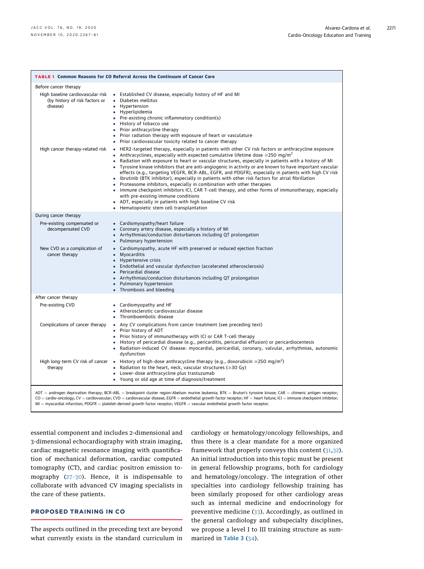<span id="page-5-0"></span>

| <b>TABLE 1 Common Reasons for CO Referral Across the Continuum of Cancer Care</b>                                                                                                                                                                                                                                                                                                                                                                                                             |                                                                                                                                                                                                                                                                                                                                                                                                                                                                                                                                                                                                                                                                                                                                                                                                                                                                                                                                                                                |  |  |  |
|-----------------------------------------------------------------------------------------------------------------------------------------------------------------------------------------------------------------------------------------------------------------------------------------------------------------------------------------------------------------------------------------------------------------------------------------------------------------------------------------------|--------------------------------------------------------------------------------------------------------------------------------------------------------------------------------------------------------------------------------------------------------------------------------------------------------------------------------------------------------------------------------------------------------------------------------------------------------------------------------------------------------------------------------------------------------------------------------------------------------------------------------------------------------------------------------------------------------------------------------------------------------------------------------------------------------------------------------------------------------------------------------------------------------------------------------------------------------------------------------|--|--|--|
| Before cancer therapy                                                                                                                                                                                                                                                                                                                                                                                                                                                                         |                                                                                                                                                                                                                                                                                                                                                                                                                                                                                                                                                                                                                                                                                                                                                                                                                                                                                                                                                                                |  |  |  |
| High baseline cardiovascular risk<br>(by history of risk factors or<br>disease)                                                                                                                                                                                                                                                                                                                                                                                                               | • Established CV disease, especially history of HF and MI<br>Diabetes mellitus<br>$\bullet$<br>• Hypertension<br>• Hyperlipidemia<br>• Pre-existing chronic inflammatory condition(s)<br>• History of tobacco use<br>• Prior anthracycline therapy<br>• Prior radiation therapy with exposure of heart or vasculature<br>• Prior cardiovascular toxicity related to cancer therapy                                                                                                                                                                                                                                                                                                                                                                                                                                                                                                                                                                                             |  |  |  |
| High cancer therapy-related risk                                                                                                                                                                                                                                                                                                                                                                                                                                                              | • HER2-targeted therapy, especially in patients with other CV risk factors or anthracycline exposure<br>Anthracyclines, especially with expected cumulative lifetime dose $\geq$ 250 mg/m <sup>2</sup><br>• Radiation with exposure to heart or vascular structures, especially in patients with a history of MI<br>• Tyrosine kinase inhibitors that are anti-angiogenic in activity or are known to have important vascular<br>effects (e.g., targeting VEGFR, BCR-ABL, EGFR, and PDGFR), especially in patients with high CV risk<br>• Ibrutinib (BTK inhibitor), especially in patients with other risk factors for atrial fibrillation<br>• Proteasome inhibitors, especially in combination with other therapies<br>• Immune checkpoint inhibitors ICI, CAR T-cell therapy, and other forms of immunotherapy, especially<br>with pre-existing immune conditions<br>• ADT, especially in patients with high baseline CV risk<br>• Hematopoietic stem cell transplantation |  |  |  |
| During cancer therapy                                                                                                                                                                                                                                                                                                                                                                                                                                                                         |                                                                                                                                                                                                                                                                                                                                                                                                                                                                                                                                                                                                                                                                                                                                                                                                                                                                                                                                                                                |  |  |  |
| Pre-existing compensated or<br>decompensated CVD                                                                                                                                                                                                                                                                                                                                                                                                                                              | • Cardiomyopathy/heart failure<br>Coronary artery disease, especially a history of MI<br>$\bullet$<br>• Arrhythmias/conduction disturbances including QT prolongation<br>Pulmonary hypertension<br>$\bullet$                                                                                                                                                                                                                                                                                                                                                                                                                                                                                                                                                                                                                                                                                                                                                                   |  |  |  |
| New CVD as a complication of<br>cancer therapy                                                                                                                                                                                                                                                                                                                                                                                                                                                | Cardiomyopathy, acute HF with preserved or reduced ejection fraction<br>$\bullet$<br>Myocarditis<br>$\bullet$<br>• Hypertensive crisis<br>• Endothelial and vascular dysfunction (accelerated atherosclerosis)<br>• Pericardial disease<br>• Arrhythmias/conduction disturbances including QT prolongation<br>Pulmonary hypertension<br>$\bullet$<br>• Thrombosis and bleeding                                                                                                                                                                                                                                                                                                                                                                                                                                                                                                                                                                                                 |  |  |  |
| After cancer therapy                                                                                                                                                                                                                                                                                                                                                                                                                                                                          |                                                                                                                                                                                                                                                                                                                                                                                                                                                                                                                                                                                                                                                                                                                                                                                                                                                                                                                                                                                |  |  |  |
| Pre-existing CVD                                                                                                                                                                                                                                                                                                                                                                                                                                                                              | • Cardiomyopathy and HF<br>Atherosclerotic cardiovascular disease<br>$\bullet$<br>• Thromboembolic disease                                                                                                                                                                                                                                                                                                                                                                                                                                                                                                                                                                                                                                                                                                                                                                                                                                                                     |  |  |  |
| Complications of cancer therapy                                                                                                                                                                                                                                                                                                                                                                                                                                                               | • Any CV complications from cancer treatment (see preceding text)<br>• Prior history of ADT<br>• Prior history of immunotherapy with ICI or CAR T-cell therapy<br>• History of pericardial disease (e.g., pericarditis, pericardial effusion) or pericardiocentesis<br>• Radiation-induced CV disease: myocardial, pericardial, coronary, valvular, arrhythmias, autonomic<br>dysfunction                                                                                                                                                                                                                                                                                                                                                                                                                                                                                                                                                                                      |  |  |  |
| High long-term CV risk of cancer<br>therapy                                                                                                                                                                                                                                                                                                                                                                                                                                                   | • History of high-dose anthracycline therapy (e.g., doxorubicin $\geq$ 250 mg/m <sup>2</sup> )<br>• Radiation to the heart, neck, vascular structures ( $\geq$ 30 Gy)<br>• Lower-dose anthracycline plus trastuzumab<br>• Young or old age at time of diagnosis/treatment                                                                                                                                                                                                                                                                                                                                                                                                                                                                                                                                                                                                                                                                                                      |  |  |  |
| ADT = androgen deprivation therapy; BCR-ABL = breakpoint cluster region-Abelson murine leukemia; BTK = Bruton's tyrosine kinase; CAR = chimeric antigen receptor;<br>$CO =$ cardio-oncology; $CV =$ cardiovascular; $CVD =$ cardiovascular disease; EGFR = endothelial growth factor receptor; HF = heart failure; ICI = immune checkpoint inhibitor;<br>$MI = myocardial infarction$ ; PDGFR = platelet-derived growth factor receptor; VEGFR = vascular endothelial growth factor receptor. |                                                                                                                                                                                                                                                                                                                                                                                                                                                                                                                                                                                                                                                                                                                                                                                                                                                                                                                                                                                |  |  |  |

essential component and includes 2-dimensional and 3-dimensional echocardiography with strain imaging, cardiac magnetic resonance imaging with quantification of mechanical deformation, cardiac computed tomography (CT), and cardiac positron emission tomography (27–[30\)](#page-15-6). Hence, it is indispensable to collaborate with advanced CV imaging specialists in the care of these patients.

#### PROPOSED TRAINING IN CO

The aspects outlined in the preceding text are beyond what currently exists in the standard curriculum in cardiology or hematology/oncology fellowships, and thus there is a clear mandate for a more organized framework that properly conveys this content ([31,](#page-15-7)[32](#page-15-8)). An initial introduction into this topic must be present in general fellowship programs, both for cardiology and hematology/oncology. The integration of other specialties into cardiology fellowship training has been similarly proposed for other cardiology areas such as internal medicine and endocrinology for preventive medicine [\(33\)](#page-15-9). Accordingly, as outlined in the general cardiology and subspecialty disciplines, we propose a level I to III training structure as sum-marized in [Table 3](#page-10-0) ([34](#page-15-10)).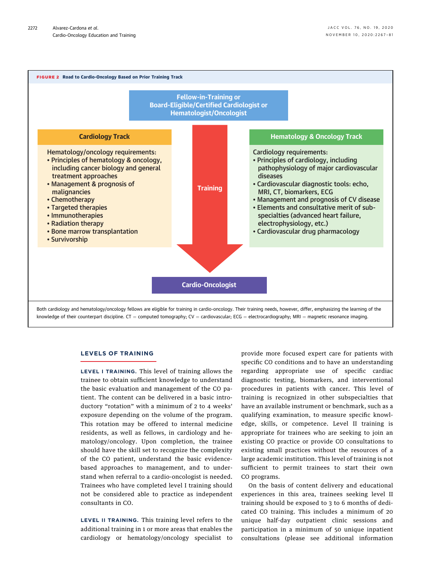<span id="page-6-0"></span>

#### LEVELS OF TRAINING

LEVEL I TRAINING. This level of training allows the trainee to obtain sufficient knowledge to understand the basic evaluation and management of the CO patient. The content can be delivered in a basic introductory "rotation" with a minimum of 2 to 4 weeks' exposure depending on the volume of the program. This rotation may be offered to internal medicine residents, as well as fellows, in cardiology and hematology/oncology. Upon completion, the trainee should have the skill set to recognize the complexity of the CO patient, understand the basic evidencebased approaches to management, and to understand when referral to a cardio-oncologist is needed. Trainees who have completed level I training should not be considered able to practice as independent consultants in CO.

LEVEL II TRAINING. This training level refers to the additional training in 1 or more areas that enables the cardiology or hematology/oncology specialist to provide more focused expert care for patients with specific CO conditions and to have an understanding regarding appropriate use of specific cardiac diagnostic testing, biomarkers, and interventional procedures in patients with cancer. This level of training is recognized in other subspecialties that have an available instrument or benchmark, such as a qualifying examination, to measure specific knowledge, skills, or competence. Level II training is appropriate for trainees who are seeking to join an existing CO practice or provide CO consultations to existing small practices without the resources of a large academic institution. This level of training is not sufficient to permit trainees to start their own CO programs.

On the basis of content delivery and educational experiences in this area, trainees seeking level II training should be exposed to 3 to 6 months of dedicated CO training. This includes a minimum of 20 unique half-day outpatient clinic sessions and participation in a minimum of 50 unique inpatient consultations (please see additional information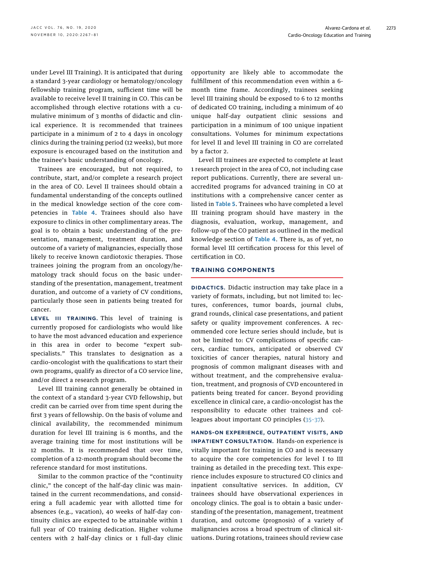under Level III Training). It is anticipated that during a standard 3-year cardiology or hematology/oncology fellowship training program, sufficient time will be available to receive level II training in CO. This can be accomplished through elective rotations with a cumulative minimum of 3 months of didactic and clinical experience. It is recommended that trainees participate in a minimum of 2 to 4 days in oncology clinics during the training period (12 weeks), but more exposure is encouraged based on the institution and the trainee's basic understanding of oncology.

Trainees are encouraged, but not required, to contribute, start, and/or complete a research project in the area of CO. Level II trainees should obtain a fundamental understanding of the concepts outlined in the medical knowledge section of the core com-petencies in [Table 4](#page-11-0). Trainees should also have exposure to clinics in other complimentary areas. The goal is to obtain a basic understanding of the presentation, management, treatment duration, and outcome of a variety of malignancies, especially those likely to receive known cardiotoxic therapies. Those trainees joining the program from an oncology/hematology track should focus on the basic understanding of the presentation, management, treatment duration, and outcome of a variety of CV conditions, particularly those seen in patients being treated for cancer.

LEVEL III TRAINING. This level of training is currently proposed for cardiologists who would like to have the most advanced education and experience in this area in order to become "expert subspecialists." This translates to designation as a cardio-oncologist with the qualifications to start their own programs, qualify as director of a CO service line, and/or direct a research program.

Level III training cannot generally be obtained in the context of a standard 3-year CVD fellowship, but credit can be carried over from time spent during the first 3 years of fellowship. On the basis of volume and clinical availability, the recommended minimum duration for level III training is 6 months, and the average training time for most institutions will be 12 months. It is recommended that over time, completion of a 12-month program should become the reference standard for most institutions.

Similar to the common practice of the "continuity clinic," the concept of the half-day clinic was maintained in the current recommendations, and considering a full academic year with allotted time for absences (e.g., vacation), 40 weeks of half-day continuity clinics are expected to be attainable within 1 full year of CO training dedication. Higher volume centers with 2 half-day clinics or 1 full-day clinic opportunity are likely able to accommodate the fulfillment of this recommendation even within a 6 month time frame. Accordingly, trainees seeking level III training should be exposed to 6 to 12 months of dedicated CO training, including a minimum of 40 unique half-day outpatient clinic sessions and participation in a minimum of 100 unique inpatient consultations. Volumes for minimum expectations for level II and level III training in CO are correlated by a factor 2.

Level III trainees are expected to complete at least 1 research project in the area of CO, not including case report publications. Currently, there are several unaccredited programs for advanced training in CO at institutions with a comprehensive cancer center as listed in [Table 5](#page-12-0). Trainees who have completed a level III training program should have mastery in the diagnosis, evaluation, workup, management, and follow-up of the CO patient as outlined in the medical knowledge section of [Table 4](#page-11-0). There is, as of yet, no formal level III certification process for this level of certification in CO.

#### TRAINING COMPONENTS

DIDACTICS. Didactic instruction may take place in a variety of formats, including, but not limited to: lectures, conferences, tumor boards, journal clubs, grand rounds, clinical case presentations, and patient safety or quality improvement conferences. A recommended core lecture series should include, but is not be limited to: CV complications of specific cancers, cardiac tumors, anticipated or observed CV toxicities of cancer therapies, natural history and prognosis of common malignant diseases with and without treatment, and the comprehensive evaluation, treatment, and prognosis of CVD encountered in patients being treated for cancer. Beyond providing excellence in clinical care, a cardio-oncologist has the responsibility to educate other trainees and colleagues about important CO principles [\(35](#page-15-11)–37).

HANDS-ON EXPERIENCE, OUTPATIENT VISITS, AND INPATIENT CONSULTATION. Hands-on experience is vitally important for training in CO and is necessary to acquire the core competencies for level I to III training as detailed in the preceding text. This experience includes exposure to structured CO clinics and inpatient consultative services. In addition, CV trainees should have observational experiences in oncology clinics. The goal is to obtain a basic understanding of the presentation, management, treatment duration, and outcome (prognosis) of a variety of malignancies across a broad spectrum of clinical situations. During rotations, trainees should review case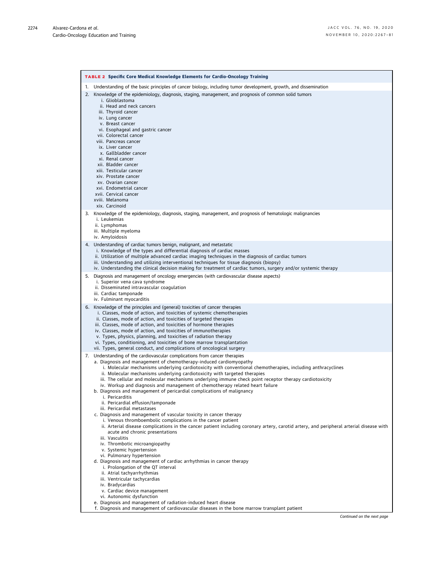<span id="page-8-0"></span>

|    | <b>TABLE 2 Specific Core Medical Knowledge Elements for Cardio-Oncology Training</b>                                                                                                                                                                                                                                                                                                                                                                                                                                                                                                                                                                                                                                                                                                                                                                                                                                                                                                                                                                                                                                                                                                                                                                                                                                                                                                                                                                                                                                                                                               |
|----|------------------------------------------------------------------------------------------------------------------------------------------------------------------------------------------------------------------------------------------------------------------------------------------------------------------------------------------------------------------------------------------------------------------------------------------------------------------------------------------------------------------------------------------------------------------------------------------------------------------------------------------------------------------------------------------------------------------------------------------------------------------------------------------------------------------------------------------------------------------------------------------------------------------------------------------------------------------------------------------------------------------------------------------------------------------------------------------------------------------------------------------------------------------------------------------------------------------------------------------------------------------------------------------------------------------------------------------------------------------------------------------------------------------------------------------------------------------------------------------------------------------------------------------------------------------------------------|
| 1. | Understanding of the basic principles of cancer biology, including tumor development, growth, and dissemination                                                                                                                                                                                                                                                                                                                                                                                                                                                                                                                                                                                                                                                                                                                                                                                                                                                                                                                                                                                                                                                                                                                                                                                                                                                                                                                                                                                                                                                                    |
| 2. | Knowledge of the epidemiology, diagnosis, staging, management, and prognosis of common solid tumors<br>i. Glioblastoma<br>ii. Head and neck cancers<br>iii. Thyroid cancer<br>iv. Lung cancer<br>v. Breast cancer<br>vi. Esophageal and gastric cancer<br>vii. Colorectal cancer<br>viii. Pancreas cancer<br>ix. Liver cancer<br>x. Gallbladder cancer<br>xi. Renal cancer<br>xii. Bladder cancer<br>xiii. Testicular cancer<br>xiv. Prostate cancer<br>xv. Ovarian cancer<br>xvi. Endometrial cancer<br>xvii. Cervical cancer<br>xviii. Melanoma<br>xix. Carcinoid                                                                                                                                                                                                                                                                                                                                                                                                                                                                                                                                                                                                                                                                                                                                                                                                                                                                                                                                                                                                                |
|    | 3. Knowledge of the epidemiology, diagnosis, staging, management, and prognosis of hematologic malignancies<br>i. Leukemias<br>ii. Lymphomas<br>iii. Multiple myeloma                                                                                                                                                                                                                                                                                                                                                                                                                                                                                                                                                                                                                                                                                                                                                                                                                                                                                                                                                                                                                                                                                                                                                                                                                                                                                                                                                                                                              |
|    | iv. Amyloidosis<br>4. Understanding of cardiac tumors benign, malignant, and metastatic<br>i. Knowledge of the types and differential diagnosis of cardiac masses<br>ii. Utilization of multiple advanced cardiac imaging techniques in the diagnosis of cardiac tumors<br>iii. Understanding and utilizing interventional techniques for tissue diagnosis (biopsy)<br>iv. Understanding the clinical decision making for treatment of cardiac tumors, surgery and/or systemic therapy                                                                                                                                                                                                                                                                                                                                                                                                                                                                                                                                                                                                                                                                                                                                                                                                                                                                                                                                                                                                                                                                                             |
|    | 5. Diagnosis and management of oncology emergencies (with cardiovascular disease aspects)<br>i. Superior vena cava syndrome<br>ii. Disseminated intravascular coagulation<br>iii. Cardiac tamponade<br>iv. Fulminant myocarditis                                                                                                                                                                                                                                                                                                                                                                                                                                                                                                                                                                                                                                                                                                                                                                                                                                                                                                                                                                                                                                                                                                                                                                                                                                                                                                                                                   |
|    | 6. Knowledge of the principles and (general) toxicities of cancer therapies<br>i. Classes, mode of action, and toxicities of systemic chemotherapies<br>ii. Classes, mode of action, and toxicities of targeted therapies<br>iii. Classes, mode of action, and toxicities of hormone therapies<br>iv. Classes, mode of action, and toxicities of immunotherapies<br>v. Types, physics, planning, and toxicities of radiation therapy<br>vi. Types, conditioning, and toxicities of bone marrow transplantation<br>vii. Types, general conduct, and complications of oncological surgery                                                                                                                                                                                                                                                                                                                                                                                                                                                                                                                                                                                                                                                                                                                                                                                                                                                                                                                                                                                            |
|    | 7. Understanding of the cardiovascular complications from cancer therapies<br>a. Diagnosis and management of chemotherapy-induced cardiomyopathy<br>i. Molecular mechanisms underlying cardiotoxicity with conventional chemotherapies, including anthracyclines<br>ii. Molecular mechanisms underlying cardiotoxicity with targeted therapies<br>iii. The cellular and molecular mechanisms underlying immune check point receptor therapy cardiotoxicity<br>iv. Workup and diagnosis and management of chemotherapy related heart failure<br>b. Diagnosis and management of pericardial complications of malignancy<br>i. Pericarditis<br>ii. Pericardial effusion/tamponade<br>iii. Pericardial metastases<br>c. Diagnosis and management of vascular toxicity in cancer therapy<br>i. Venous thromboembolic complications in the cancer patient<br>ii. Arterial disease complications in the cancer patient including coronary artery, carotid artery, and peripheral arterial disease with<br>acute and chronic presentations<br>iii. Vasculitis<br>iv. Thrombotic microangiopathy<br>v. Systemic hypertension<br>vi. Pulmonary hypertension<br>d. Diagnosis and management of cardiac arrhythmias in cancer therapy<br>i. Prolongation of the QT interval<br>ii. Atrial tachyarrhythmias<br>iii. Ventricular tachycardias<br>iv. Bradycardias<br>v. Cardiac device management<br>vi. Autonomic dysfunction<br>e. Diagnosis and management of radiation-induced heart disease<br>f. Diagnosis and management of cardiovascular diseases in the bone marrow transplant patient |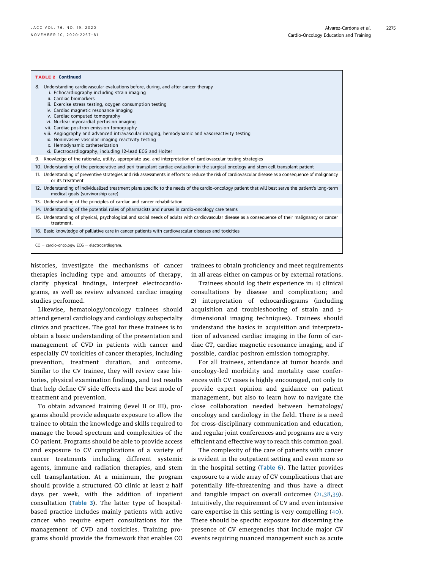| <b>TABLE 2 Continued</b>                                                                                                                                                                                                                                                                                                                                                                                                                                                                                                                                                                                                                              |  |  |
|-------------------------------------------------------------------------------------------------------------------------------------------------------------------------------------------------------------------------------------------------------------------------------------------------------------------------------------------------------------------------------------------------------------------------------------------------------------------------------------------------------------------------------------------------------------------------------------------------------------------------------------------------------|--|--|
| 8. Understanding cardiovascular evaluations before, during, and after cancer therapy<br>i. Echocardiography including strain imaging<br>ii. Cardiac biomarkers<br>iii. Exercise stress testing, oxygen consumption testing<br>iv. Cardiac magnetic resonance imaging<br>v. Cardiac computed tomography<br>vi. Nuclear myocardial perfusion imaging<br>vii. Cardiac positron emission tomography<br>viii. Angiography and advanced intravascular imaging, hemodynamic and vasoreactivity testing<br>ix. Noninvasive vascular imaging reactivity testing<br>x. Hemodynamic catheterization<br>xi. Electrocardiography, including 12-lead ECG and Holter |  |  |
| 9. Knowledge of the rationale, utility, appropriate use, and interpretation of cardiovascular testing strategies                                                                                                                                                                                                                                                                                                                                                                                                                                                                                                                                      |  |  |
| 10. Understanding of the perioperative and peri-transplant cardiac evaluation in the surgical oncology and stem cell transplant patient                                                                                                                                                                                                                                                                                                                                                                                                                                                                                                               |  |  |
| 11. Understanding of preventive strategies and risk assessments in efforts to reduce the risk of cardiovascular disease as a consequence of malignancy<br>or its treatment                                                                                                                                                                                                                                                                                                                                                                                                                                                                            |  |  |
| 12. Understanding of individualized treatment plans specific to the needs of the cardio-oncology patient that will best serve the patient's long-term<br>medical goals (survivorship care)                                                                                                                                                                                                                                                                                                                                                                                                                                                            |  |  |
| 13. Understanding of the principles of cardiac and cancer rehabilitation                                                                                                                                                                                                                                                                                                                                                                                                                                                                                                                                                                              |  |  |
| 14. Understanding of the potential roles of pharmacists and nurses in cardio-oncology care teams                                                                                                                                                                                                                                                                                                                                                                                                                                                                                                                                                      |  |  |
| 15. Understanding of physical, psychological and social needs of adults with cardiovascular disease as a consequence of their malignancy or cancer<br>treatment.                                                                                                                                                                                                                                                                                                                                                                                                                                                                                      |  |  |
| 16. Basic knowledge of palliative care in cancer patients with cardiovascular diseases and toxicities                                                                                                                                                                                                                                                                                                                                                                                                                                                                                                                                                 |  |  |
| $CO =$ cardio-oncology; ECG = electrocardiogram.                                                                                                                                                                                                                                                                                                                                                                                                                                                                                                                                                                                                      |  |  |

histories, investigate the mechanisms of cancer therapies including type and amounts of therapy, clarify physical findings, interpret electrocardiograms, as well as review advanced cardiac imaging studies performed.

Likewise, hematology/oncology trainees should attend general cardiology and cardiology subspecialty clinics and practices. The goal for these trainees is to obtain a basic understanding of the presentation and management of CVD in patients with cancer and especially CV toxicities of cancer therapies, including prevention, treatment duration, and outcome. Similar to the CV trainee, they will review case histories, physical examination findings, and test results that help define CV side effects and the best mode of treatment and prevention.

To obtain advanced training (level II or III), programs should provide adequate exposure to allow the trainee to obtain the knowledge and skills required to manage the broad spectrum and complexities of the CO patient. Programs should be able to provide access and exposure to CV complications of a variety of cancer treatments including different systemic agents, immune and radiation therapies, and stem cell transplantation. At a minimum, the program should provide a structured CO clinic at least 2 half days per week, with the addition of inpatient consultation ([Table 3](#page-10-0)). The latter type of hospitalbased practice includes mainly patients with active cancer who require expert consultations for the management of CVD and toxicities. Training programs should provide the framework that enables CO

trainees to obtain proficiency and meet requirements in all areas either on campus or by external rotations.

Trainees should log their experience in: 1) clinical consultations by disease and complication; and 2) interpretation of echocardiograms (including acquisition and troubleshooting of strain and 3 dimensional imaging techniques). Trainees should understand the basics in acquisition and interpretation of advanced cardiac imaging in the form of cardiac CT, cardiac magnetic resonance imaging, and if possible, cardiac positron emission tomography.

For all trainees, attendance at tumor boards and oncology-led morbidity and mortality case conferences with CV cases is highly encouraged, not only to provide expert opinion and guidance on patient management, but also to learn how to navigate the close collaboration needed between hematology/ oncology and cardiology in the field. There is a need for cross-disciplinary communication and education, and regular joint conferences and programs are a very efficient and effective way to reach this common goal.

The complexity of the care of patients with cancer is evident in the outpatient setting and even more so in the hospital setting  $(Table 6)$  $(Table 6)$  $(Table 6)$ . The latter provides exposure to a wide array of CV complications that are potentially life-threatening and thus have a direct and tangible impact on overall outcomes ([21,](#page-15-5)[38](#page-15-12),[39](#page-15-13)). Intuitively, the requirement of CV and even intensive care expertise in this setting is very compelling ([40](#page-15-14)). There should be specific exposure for discerning the presence of CV emergencies that include major CV events requiring nuanced management such as acute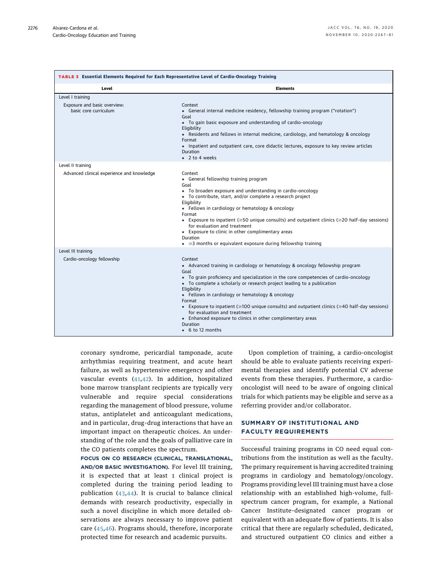<span id="page-10-0"></span>

| TABLE 3 Essential Elements Required for Each Representative Level of Cardio-Oncology Training |                                                                                                                                                                                                                                                                                                                                                                                                                                                                                                                                                                                                        |  |  |  |
|-----------------------------------------------------------------------------------------------|--------------------------------------------------------------------------------------------------------------------------------------------------------------------------------------------------------------------------------------------------------------------------------------------------------------------------------------------------------------------------------------------------------------------------------------------------------------------------------------------------------------------------------------------------------------------------------------------------------|--|--|--|
| Level                                                                                         | <b>Elements</b>                                                                                                                                                                                                                                                                                                                                                                                                                                                                                                                                                                                        |  |  |  |
| Level I training<br>Exposure and basic overview:<br>basic core curriculum                     | Context<br>• General internal medicine residency, fellowship training program ("rotation")<br>Goal<br>• To gain basic exposure and understanding of cardio-oncology<br>Eligibility<br>• Residents and fellows in internal medicine, cardiology, and hematology & oncology<br>Format<br>• Inpatient and outpatient care, core didactic lectures, exposure to key review articles<br>Duration<br>$\bullet$ 2 to 4 weeks                                                                                                                                                                                  |  |  |  |
| Level II training<br>Advanced clinical experience and knowledge                               | Context<br>• General fellowship training program<br>Goal<br>• To broaden exposure and understanding in cardio-oncology<br>• To contribute, start, and/or complete a research project<br>Eligibility<br>• Fellows in cardiology or hematology & oncology<br>Format<br>• Exposure to inpatient ( $\geq 50$ unique consults) and outpatient clinics ( $\geq 20$ half-day sessions)<br>for evaluation and treatment<br>• Exposure to clinic in other complimentary areas<br>Duration<br>$\bullet$ $\geq$ 3 months or equivalent exposure during fellowship training                                        |  |  |  |
| Level III training<br>Cardio-oncology fellowship                                              | Context<br>• Advanced training in cardiology or hematology & oncology fellowship program<br>Goal<br>• To grain proficiency and specialization in the core competencies of cardio-oncology<br>• To complete a scholarly or research project leading to a publication<br>Eligibility<br>• Fellows in cardiology or hematology & oncology<br>Format<br>• Exposure to inpatient ( $\geq$ 100 unique consults) and outpatient clinics ( $\geq$ 40 half-day sessions)<br>for evaluation and treatment<br>• Enhanced exposure to clinics in other complimentary areas<br>Duration<br>$\bullet$ 6 to 12 months |  |  |  |

coronary syndrome, pericardial tamponade, acute arrhythmias requiring treatment, and acute heart failure, as well as hypertensive emergency and other vascular events ([41,](#page-15-15)[42\)](#page-15-16). In addition, hospitalized bone marrow transplant recipients are typically very vulnerable and require special considerations regarding the management of blood pressure, volume status, antiplatelet and anticoagulant medications, and in particular, drug–drug interactions that have an important impact on therapeutic choices. An understanding of the role and the goals of palliative care in the CO patients completes the spectrum.

FOCUS ON CO RESEARCH (CLINICAL, TRANSLATIONAL, AND/OR BASIC INVESTIGATION). For level III training, it is expected that at least 1 clinical project is completed during the training period leading to publication ([43,](#page-15-17)[44](#page-15-18)). It is crucial to balance clinical demands with research productivity, especially in such a novel discipline in which more detailed observations are always necessary to improve patient care ([45](#page-15-19),[46\)](#page-15-20). Programs should, therefore, incorporate protected time for research and academic pursuits.

Upon completion of training, a cardio-oncologist should be able to evaluate patients receiving experimental therapies and identify potential CV adverse events from these therapies. Furthermore, a cardiooncologist will need to be aware of ongoing clinical trials for which patients may be eligible and serve as a referring provider and/or collaborator.

#### SUMMARY OF INSTITUTIONAL AND FACULTY REQUIREMENTS

Successful training programs in CO need equal contributions from the institution as well as the faculty. The primary requirement is having accredited training programs in cardiology and hematology/oncology. Programs providing level III training must have a close relationship with an established high-volume, fullspectrum cancer program, for example, a National Cancer Institute–designated cancer program or equivalent with an adequate flow of patients. It is also critical that there are regularly scheduled, dedicated, and structured outpatient CO clinics and either a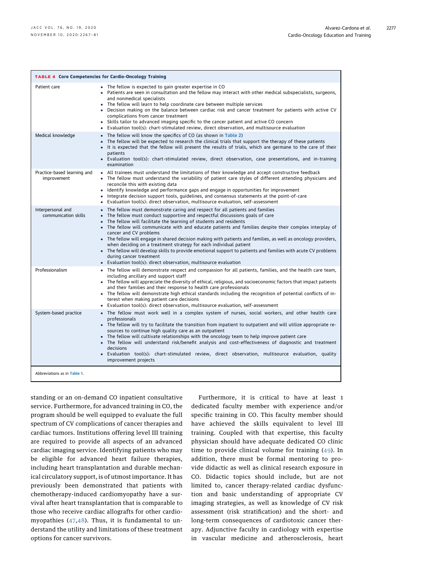<span id="page-11-0"></span>

| <b>TABLE 4 Core Competencies for Cardio-Oncology Training</b> |                                                                                                                                                                                                                                                                                                                                                                                                                                                                                                                                                                                                                                                                                                                                                                                   |  |  |  |
|---------------------------------------------------------------|-----------------------------------------------------------------------------------------------------------------------------------------------------------------------------------------------------------------------------------------------------------------------------------------------------------------------------------------------------------------------------------------------------------------------------------------------------------------------------------------------------------------------------------------------------------------------------------------------------------------------------------------------------------------------------------------------------------------------------------------------------------------------------------|--|--|--|
| Patient care                                                  | • The fellow is expected to gain greater expertise in CO<br>. Patients are seen in consultation and the fellow may interact with other medical subspecialists, surgeons,<br>and nonmedical specialists<br>• The fellow will learn to help coordinate care between multiple services<br>Decision making on the balance between cardiac risk and cancer treatment for patients with active CV<br>complications from cancer treatment<br>• Skills tailor to advanced imaging specific to the cancer patient and active CO concern<br>• Evaluation tool(s): chart-stimulated review, direct observation, and multisource evaluation                                                                                                                                                   |  |  |  |
| Medical knowledge                                             | • The fellow will know the specifics of CO (as shown in Table 2)<br>• The fellow will be expected to research the clinical trials that support the therapy of these patients<br>• It is expected that the fellow will present the results of trials, which are germane to the care of their<br>patients<br>· Evaluation tool(s): chart-stimulated review, direct observation, case presentations, and in-training<br>examination                                                                                                                                                                                                                                                                                                                                                  |  |  |  |
| Practice-based learning and<br>improvement                    | . All trainees must understand the limitations of their knowledge and accept constructive feedback<br>• The fellow must understand the variability of patient care styles of different attending physicians and<br>reconcile this with existing data<br>• Identify knowledge and performance gaps and engage in opportunities for improvement<br>Integrate decision support tools, quidelines, and consensus statements at the point-of-care<br>٠<br>• Evaluation tool(s): direct observation, multisource evaluation, self-assessment                                                                                                                                                                                                                                            |  |  |  |
| Interpersonal and<br>communication skills                     | • The fellow must demonstrate caring and respect for all patients and families<br>• The fellow must conduct supportive and respectful discussions goals of care<br>• The fellow will facilitate the learning of students and residents<br>• The fellow will communicate with and educate patients and families despite their complex interplay of<br>cancer and CV problems<br>• The fellow will engage in shared decision making with patients and families, as well as oncology providers,<br>when deciding on a treatment strategy for each individual patient<br>• The fellow will develop skills to provide emotional support to patients and families with acute CV problems<br>during cancer treatment<br>• Evaluation tool(s): direct observation, multisource evaluation |  |  |  |
| Professionalism                                               | • The fellow will demonstrate respect and compassion for all patients, families, and the health care team,<br>including ancillary and support staff<br>• The fellow will appreciate the diversity of ethical, religious, and socioeconomic factors that impact patients<br>and their families and their response to health care professionals<br>• The fellow will demonstrate high ethical standards including the recognition of potential conflicts of in-<br>terest when making patient care decisions<br>• Evaluation tool(s): direct observation, multisource evaluation, self-assessment                                                                                                                                                                                   |  |  |  |
| System-based practice                                         | • The fellow must work well in a complex system of nurses, social workers, and other health care<br>professionals<br>• The fellow will try to facilitate the transition from inpatient to outpatient and will utilize appropriate re-<br>sources to continue high quality care as an outpatient<br>• The fellow will cultivate relationships with the oncology team to help improve patient care<br>• The fellow will understand risk/benefit analysis and cost-effectiveness of diagnostic and treatment<br>decisions<br>• Evaluation tool(s): chart-stimulated review, direct observation, multisource evaluation, quality<br>improvement projects                                                                                                                              |  |  |  |
| Abbreviations as in Table 1.                                  |                                                                                                                                                                                                                                                                                                                                                                                                                                                                                                                                                                                                                                                                                                                                                                                   |  |  |  |

standing or an on-demand CO inpatient consultative service. Furthermore, for advanced training in CO, the program should be well equipped to evaluate the full spectrum of CV complications of cancer therapies and cardiac tumors. Institutions offering level III training are required to provide all aspects of an advanced cardiac imaging service. Identifying patients who may be eligible for advanced heart failure therapies, including heart transplantation and durable mechanical circulatory support, is of utmost importance. It has previously been demonstrated that patients with chemotherapy-induced cardiomyopathy have a survival after heart transplantation that is comparable to those who receive cardiac allografts for other cardiomyopathies ([47,](#page-15-21)[48](#page-15-22)). Thus, it is fundamental to understand the utility and limitations of these treatment options for cancer survivors.

Furthermore, it is critical to have at least 1 dedicated faculty member with experience and/or specific training in CO. This faculty member should have achieved the skills equivalent to level III training. Coupled with that expertise, this faculty physician should have adequate dedicated CO clinic time to provide clinical volume for training ([49\)](#page-15-23). In addition, there must be formal mentoring to provide didactic as well as clinical research exposure in CO. Didactic topics should include, but are not limited to, cancer therapy-related cardiac dysfunction and basic understanding of appropriate CV imaging strategies, as well as knowledge of CV risk assessment (risk stratification) and the short- and long-term consequences of cardiotoxic cancer therapy. Adjunctive faculty in cardiology with expertise in vascular medicine and atherosclerosis, heart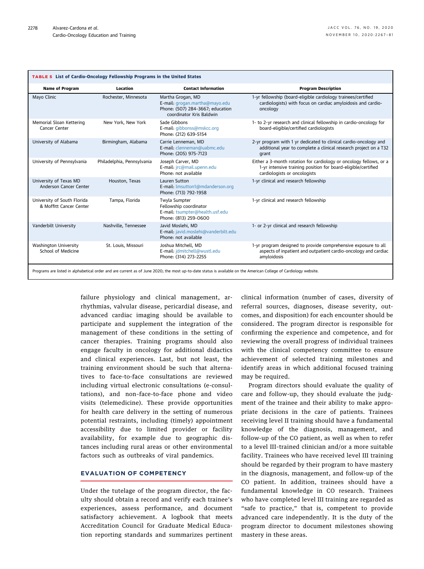<span id="page-12-0"></span>

| TABLE 5 List of Cardio-Oncology Fellowship Programs in the United States                                                                                          |                            |                                                                                                                     |                                                                                                                                                                     |  |
|-------------------------------------------------------------------------------------------------------------------------------------------------------------------|----------------------------|---------------------------------------------------------------------------------------------------------------------|---------------------------------------------------------------------------------------------------------------------------------------------------------------------|--|
| <b>Name of Program</b>                                                                                                                                            | Location                   | <b>Contact Information</b>                                                                                          | <b>Program Description</b>                                                                                                                                          |  |
| Mayo Clinic                                                                                                                                                       | Rochester, Minnesota       | Martha Grogan, MD<br>E-mail: grogan.martha@mayo.edu<br>Phone: (507) 284-3667; education<br>coordinator Kris Baldwin | 1-yr fellowship (board-eligible cardiology trainees/certified<br>cardiologists) with focus on cardiac amyloidosis and cardio-<br>oncology                           |  |
| Memorial Sloan Kettering<br>Cancer Center                                                                                                                         | New York, New York         | Sade Gibbons<br>E-mail: gibbonss@mskcc.org<br>Phone: (212) 639-5154                                                 | 1- to 2-yr research and clinical fellowship in cardio-oncology for<br>board-eligible/certified cardiologists                                                        |  |
| University of Alabama                                                                                                                                             | Birmingham, Alabama        | Carrie Lenneman, MD<br>E-mail: clenneman@uabmc.edu<br>Phone: (205) 975-7123                                         | 2-yr program with 1 yr dedicated to clinical cardio-oncology and<br>additional year to complete a clinical research project on a T32<br>grant                       |  |
| University of Pennsylvania                                                                                                                                        | Philadelphia, Pennsylvania | Joseph Carver, MD<br>E-mail: jrc@mail.upenn.edu<br>Phone: not available                                             | Either a 3-month rotation for cardiology or oncology fellows, or a<br>1-yr intensive training position for board-eligible/certified<br>cardiologists or oncologists |  |
| University of Texas MD<br>Anderson Cancer Center                                                                                                                  | Houston, Texas             | Lauren Sutton<br>E-mail: Imsutton1@mdanderson.org<br>Phone: (713) 792-1958                                          | 1-yr clinical and research fellowship                                                                                                                               |  |
| University of South Florida<br>& Moffitt Cancer Center                                                                                                            | Tampa, Florida             | Twyla Sumpter<br>Fellowship coordinator<br>E-mail: tsumpter@health.usf.edu<br>Phone: (813) 259-0600                 | 1-yr clinical and research fellowship                                                                                                                               |  |
| Vanderbilt University                                                                                                                                             | Nashville, Tennessee       | Javid Moslehi, MD<br>E-mail: javid.moslehi@vanderbilt.edu<br>Phone: not available                                   | 1- or 2-yr clinical and research fellowship                                                                                                                         |  |
| <b>Washington University</b><br>School of Medicine                                                                                                                | St. Louis, Missouri        | Joshua Mitchell, MD<br>E-mail: jdmitchell@wustl.edu<br>Phone: (314) 273-2255                                        | 1-yr program designed to provide comprehensive exposure to all<br>aspects of inpatient and outpatient cardio-oncology and cardiac<br>amyloidosis                    |  |
| Programs are listed in alphabetical order and are current as of June 2020; the most up-to-date status is available on the American College of Cardiology website. |                            |                                                                                                                     |                                                                                                                                                                     |  |

failure physiology and clinical management, arrhythmias, valvular disease, pericardial disease, and advanced cardiac imaging should be available to participate and supplement the integration of the management of these conditions in the setting of cancer therapies. Training programs should also engage faculty in oncology for additional didactics and clinical experiences. Last, but not least, the training environment should be such that alternatives to face-to-face consultations are reviewed including virtual electronic consultations (e-consultations), and non–face-to-face phone and video visits (telemedicine). These provide opportunities for health care delivery in the setting of numerous potential restraints, including (timely) appointment accessibility due to limited provider or facility availability, for example due to geographic distances including rural areas or other environmental factors such as outbreaks of viral pandemics.

#### EVALUATION OF COMPETENCY

Under the tutelage of the program director, the faculty should obtain a record and verify each trainee's experiences, assess performance, and document satisfactory achievement. A logbook that meets Accreditation Council for Graduate Medical Education reporting standards and summarizes pertinent clinical information (number of cases, diversity of referral sources, diagnoses, disease severity, outcomes, and disposition) for each encounter should be considered. The program director is responsible for confirming the experience and competence, and for reviewing the overall progress of individual trainees with the clinical competency committee to ensure achievement of selected training milestones and identify areas in which additional focused training may be required.

Program directors should evaluate the quality of care and follow-up, they should evaluate the judgment of the trainee and their ability to make appropriate decisions in the care of patients. Trainees receiving level II training should have a fundamental knowledge of the diagnosis, management, and follow-up of the CO patient, as well as when to refer to a level III–trained clinician and/or a more suitable facility. Trainees who have received level III training should be regarded by their program to have mastery in the diagnosis, management, and follow-up of the CO patient. In addition, trainees should have a fundamental knowledge in CO research. Trainees who have completed level III training are regarded as "safe to practice," that is, competent to provide advanced care independently. It is the duty of the program director to document milestones showing mastery in these areas.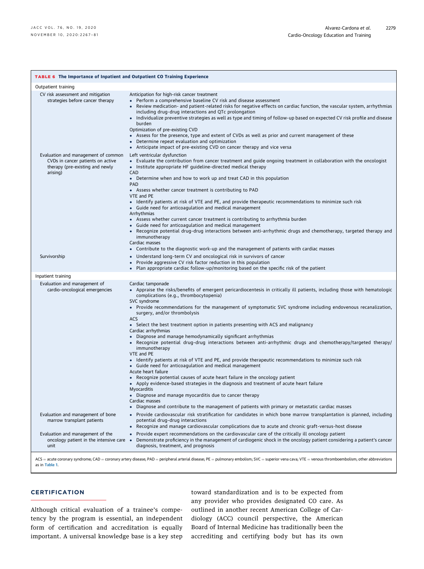<span id="page-13-0"></span>

| TABLE 6 The Importance of Inpatient and Outpatient CO Training Experience                                               |                                                                                                                                                                                                                                                                                                                                                                                                                                                                                                                                                                                                                                                                                                                                                                                                                                                                                                                                                                                                                                                                                                                                                                                                                                                                           |  |  |  |
|-------------------------------------------------------------------------------------------------------------------------|---------------------------------------------------------------------------------------------------------------------------------------------------------------------------------------------------------------------------------------------------------------------------------------------------------------------------------------------------------------------------------------------------------------------------------------------------------------------------------------------------------------------------------------------------------------------------------------------------------------------------------------------------------------------------------------------------------------------------------------------------------------------------------------------------------------------------------------------------------------------------------------------------------------------------------------------------------------------------------------------------------------------------------------------------------------------------------------------------------------------------------------------------------------------------------------------------------------------------------------------------------------------------|--|--|--|
| Outpatient training                                                                                                     |                                                                                                                                                                                                                                                                                                                                                                                                                                                                                                                                                                                                                                                                                                                                                                                                                                                                                                                                                                                                                                                                                                                                                                                                                                                                           |  |  |  |
| CV risk assessment and mitigation<br>strategies before cancer therapy                                                   | Anticipation for high-risk cancer treatment<br>• Perform a comprehensive baseline CV risk and disease assessment<br>• Review medication- and patient-related risks for negative effects on cardiac function, the vascular system, arrhythmias<br>including drug-drug interactions and QTc prolongation<br>• Individualize preventive strategies as well as type and timing of follow-up based on expected CV risk profile and disease<br>burden<br>Optimization of pre-existing CVD<br>• Assess for the presence, type and extent of CVDs as well as prior and current management of these<br>• Determine repeat evaluation and optimization<br>• Anticipate impact of pre-existing CVD on cancer therapy and vice versa                                                                                                                                                                                                                                                                                                                                                                                                                                                                                                                                                  |  |  |  |
| Evaluation and management of common<br>CVDs in cancer patients on active<br>therapy (pre-existing and newly<br>arising) | Left ventricular dysfunction<br>• Evaluate the contribution from cancer treatment and guide ongoing treatment in collaboration with the oncologist<br>• Institute appropriate HF guideline-directed medical therapy<br>CAD<br>• Determine when and how to work up and treat CAD in this population<br><b>PAD</b><br>• Assess whether cancer treatment is contributing to PAD<br>VTE and PE<br>Identify patients at risk of VTE and PE, and provide therapeutic recommendations to minimize such risk<br>• Guide need for anticoagulation and medical management<br>Arrhythmias<br>• Assess whether current cancer treatment is contributing to arrhythmia burden<br>• Guide need for anticoagulation and medical management<br>• Recognize potential drug-drug interactions between anti-arrhythmic drugs and chemotherapy, targeted therapy and<br>immunotherapy<br>Cardiac masses<br>• Contribute to the diagnostic work-up and the management of patients with cardiac masses                                                                                                                                                                                                                                                                                          |  |  |  |
| Survivorship                                                                                                            | • Understand long-term CV and oncological risk in survivors of cancer<br>• Provide aggressive CV risk factor reduction in this population<br>Plan appropriate cardiac follow-up/monitoring based on the specific risk of the patient                                                                                                                                                                                                                                                                                                                                                                                                                                                                                                                                                                                                                                                                                                                                                                                                                                                                                                                                                                                                                                      |  |  |  |
| Inpatient training                                                                                                      |                                                                                                                                                                                                                                                                                                                                                                                                                                                                                                                                                                                                                                                                                                                                                                                                                                                                                                                                                                                                                                                                                                                                                                                                                                                                           |  |  |  |
| Evaluation and management of<br>cardio-oncological emergencies                                                          | Cardiac tamponade<br>• Appraise the risks/benefits of emergent pericardiocentesis in critically ill patients, including those with hematologic<br>complications (e.g., thrombocytopenia)<br>SVC syndrome<br>• Provide recommendations for the management of symptomatic SVC syndrome including endovenous recanalization,<br>surgery, and/or thrombolysis<br>ACS<br>• Select the best treatment option in patients presenting with ACS and malignancy<br>Cardiac arrhythmias<br>• Diagnose and manage hemodynamically significant arrhythmias<br>• Recognize potential drug-drug interactions between anti-arrhythmic drugs and chemotherapy/targeted therapy/<br>immunotherapy<br>VTE and PE<br>• Identify patients at risk of VTE and PE, and provide therapeutic recommendations to minimize such risk<br>• Guide need for anticoagulation and medical management<br>Acute heart failure<br>• Recognize potential causes of acute heart failure in the oncology patient<br>• Apply evidence-based strategies in the diagnosis and treatment of acute heart failure<br>Myocarditis<br>• Diagnose and manage myocarditis due to cancer therapy<br>Cardiac masses<br>Diagnose and contribute to the management of patients with primary or metastatic cardiac masses<br>٠ |  |  |  |
| Evaluation and management of bone<br>marrow transplant patients<br>Evaluation and management of the                     | Provide cardiovascular risk stratification for candidates in which bone marrow transplantation is planned, including<br>potential drug-drug interactions<br>Recognize and manage cardiovascular complications due to acute and chronic graft-versus-host disease<br>Provide expert recommendations on the cardiovascular care of the critically ill oncology patient<br>$\bullet$                                                                                                                                                                                                                                                                                                                                                                                                                                                                                                                                                                                                                                                                                                                                                                                                                                                                                         |  |  |  |
| oncology patient in the intensive care<br>unit<br>as in Table 1.                                                        | Demonstrate proficiency in the management of cardiogenic shock in the oncology patient considering a patient's cancer<br>$\bullet$<br>diagnosis, treatment, and prognosis<br>ACS = acute coronary syndrome; CAD = coronary artery disease; PAD = peripheral arterial disease; PE = pulmonary embolism; SVC = superior vena cava; VTE = venous thromboembolism; other abbreviations                                                                                                                                                                                                                                                                                                                                                                                                                                                                                                                                                                                                                                                                                                                                                                                                                                                                                        |  |  |  |

#### **CERTIFICATION**

Although critical evaluation of a trainee's competency by the program is essential, an independent form of certification and accreditation is equally important. A universal knowledge base is a key step

toward standardization and is to be expected from any provider who provides designated CO care. As outlined in another recent American College of Cardiology (ACC) council perspective, the American Board of Internal Medicine has traditionally been the accrediting and certifying body but has its own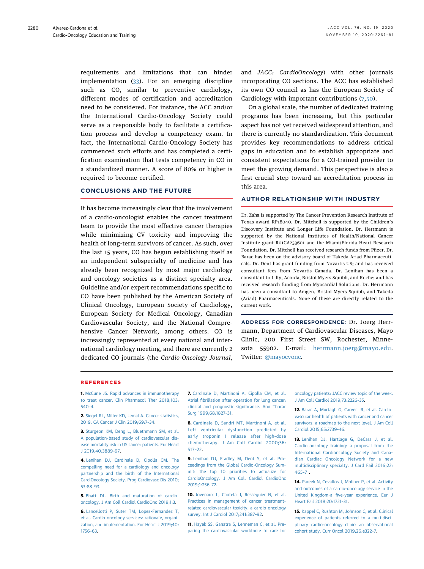requirements and limitations that can hinder implementation ([33](#page-15-9)). For an emerging discipline such as CO, similar to preventive cardiology, different modes of certification and accreditation need to be considered. For instance, the ACC and/or the International Cardio-Oncology Society could serve as a responsible body to facilitate a certification process and develop a competency exam. In fact, the International Cardio-Oncology Society has commenced such efforts and has completed a certification examination that tests competency in CO in a standardized manner. A score of 80% or higher is required to become certified.

#### CONCLUSIONS AND THE FUTURE

It has become increasingly clear that the involvement of a cardio-oncologist enables the cancer treatment team to provide the most effective cancer therapies while minimizing CV toxicity and improving the health of long-term survivors of cancer. As such, over the last 15 years, CO has begun establishing itself as an independent subspecialty of medicine and has already been recognized by most major cardiology and oncology societies as a distinct specialty area. Guideline and/or expert recommendations specific to CO have been published by the American Society of Clinical Oncology, European Society of Cardiology, European Society for Medical Oncology, Canadian Cardiovascular Society, and the National Comprehensive Cancer Network, among others. CO is increasingly represented at every national and international cardiology meeting, and there are currently 2 dedicated CO journals (the Cardio-Oncology Journal,

and JACC: CardioOncology) with other journals incorporating CO sections. The ACC has established its own CO council as has the European Society of Cardiology with important contributions ([7](#page-14-6),[50](#page-15-24)).

On a global scale, the number of dedicated training programs has been increasing, but this particular aspect has not yet received widespread attention, and there is currently no standardization. This document provides key recommendations to address critical gaps in education and to establish appropriate and consistent expectations for a CO-trained provider to meet the growing demand. This perspective is also a first crucial step toward an accreditation process in this area.

#### AUTHOR RELATIONSHIP WITH INDUSTRY

Dr. Zaha is supported by The Cancer Prevention Research Institute of Texas award RP18040. Dr. Mitchell is supported by the Children's Discovery Institute and Longer Life Foundation. Dr. Herrmann is supported by the National Institutes of Health/National Cancer Institute grant R01CA233601 and the Miami/Florida Heart Research Foundation. Dr. Mitchell has received research funds from Pfizer. Dr. Barac has been on the advisory board of Takeda Ariad Pharmaceuticals. Dr. Dent has grant funding from Novartis US; and has received consultant fees from Novartis Canada. Dr. Lenihan has been a consultant to Lilly, Acorda, Bristol Myers Squibb, and Roche; and has received research funding from Myocardial Solutions. Dr. Herrmann has been a consultant to Amgen, Bristol Myers Squibb, and Takeda (Ariad) Pharmaceuticals. None of these are directly related to the current work.

ADDRESS FOR CORRESPONDENCE: Dr. Joerg Herrmann, Department of Cardiovascular Diseases, Mayo Clinic, 200 First Street SW, Rochester, Minnesota 55902. E-mail: [herrmann.joerg@mayo.edu.](mailto:herrmann.joerg@mayo.edu) Twitter: [@mayocvonc.](https://twitter.com/mayocvonc)

#### REFERENCES

<span id="page-14-0"></span>1. [McCune JS. Rapid advances in immunotherapy](http://refhub.elsevier.com/S0735-1097(20)37191-6/sref1) [to treat cancer. Clin Pharmacol Ther 2018;103:](http://refhub.elsevier.com/S0735-1097(20)37191-6/sref1) [540](http://refhub.elsevier.com/S0735-1097(20)37191-6/sref1)–4.

<span id="page-14-1"></span>2. [Siegel RL, Miller KD, Jemal A. Cancer statistics,](http://refhub.elsevier.com/S0735-1097(20)37191-6/sref2) [2019. CA Cancer J Clin 2019;69:7](http://refhub.elsevier.com/S0735-1097(20)37191-6/sref2)–34.

<span id="page-14-2"></span>3. [Sturgeon KM, Deng L, Bluethmann SM, et al.](http://refhub.elsevier.com/S0735-1097(20)37191-6/sref3) [A population-based study of cardiovascular dis](http://refhub.elsevier.com/S0735-1097(20)37191-6/sref3)[ease mortality risk in US cancer patients. Eur Heart](http://refhub.elsevier.com/S0735-1097(20)37191-6/sref3) [J 2019;40:3889](http://refhub.elsevier.com/S0735-1097(20)37191-6/sref3)–97.

<span id="page-14-3"></span>4. [Lenihan DJ, Cardinale D, Cipolla CM. The](http://refhub.elsevier.com/S0735-1097(20)37191-6/sref4) [compelling need for a cardiology and oncology](http://refhub.elsevier.com/S0735-1097(20)37191-6/sref4) [partnership and the birth of the International](http://refhub.elsevier.com/S0735-1097(20)37191-6/sref4) [CardiOncology Society. Prog Cardiovasc Dis 2010;](http://refhub.elsevier.com/S0735-1097(20)37191-6/sref4) [53:88](http://refhub.elsevier.com/S0735-1097(20)37191-6/sref4)–93.

<span id="page-14-4"></span>5. [Bhatt DL. Birth and maturation of cardio](http://refhub.elsevier.com/S0735-1097(20)37191-6/sref5)[oncology. J Am Coll Cardiol CardioOnc 2019;1:3](http://refhub.elsevier.com/S0735-1097(20)37191-6/sref5).

<span id="page-14-5"></span>6. [Lancellotti P, Suter TM, Lopez-Fernandez T,](http://refhub.elsevier.com/S0735-1097(20)37191-6/sref6) [et al. Cardio-oncology services: rationale, organi](http://refhub.elsevier.com/S0735-1097(20)37191-6/sref6)[zation, and implementation. Eur Heart J 2019;40:](http://refhub.elsevier.com/S0735-1097(20)37191-6/sref6) [1756](http://refhub.elsevier.com/S0735-1097(20)37191-6/sref6)–63.

<span id="page-14-6"></span>7. [Cardinale D, Martinoni A, Cipolla CM, et al.](http://refhub.elsevier.com/S0735-1097(20)37191-6/sref7) Atrial fi[brillation after operation for lung cancer:](http://refhub.elsevier.com/S0735-1097(20)37191-6/sref7) [clinical and prognostic signi](http://refhub.elsevier.com/S0735-1097(20)37191-6/sref7)ficance. Ann Thorac [Surg 1999;68:1827](http://refhub.elsevier.com/S0735-1097(20)37191-6/sref7)–31.

8. [Cardinale D, Sandri MT, Martinoni A, et al.](http://refhub.elsevier.com/S0735-1097(20)37191-6/sref8) [Left ventricular dysfunction predicted by](http://refhub.elsevier.com/S0735-1097(20)37191-6/sref8) [early troponin I release after high-dose](http://refhub.elsevier.com/S0735-1097(20)37191-6/sref8) [chemotherapy. J Am Coll Cardiol 2000;36:](http://refhub.elsevier.com/S0735-1097(20)37191-6/sref8) [517](http://refhub.elsevier.com/S0735-1097(20)37191-6/sref8)–22.

<span id="page-14-10"></span>9. [Lenihan DJ, Fradley M, Dent S, et al. Pro](http://refhub.elsevier.com/S0735-1097(20)37191-6/sref9)[ceedings from the Global Cardio-Oncology Sum](http://refhub.elsevier.com/S0735-1097(20)37191-6/sref9)[mit: the top 10 priorities to actualize for](http://refhub.elsevier.com/S0735-1097(20)37191-6/sref9) [CardioOncology. J Am Coll Cardiol CardioOnc](http://refhub.elsevier.com/S0735-1097(20)37191-6/sref9) [2019;1:256](http://refhub.elsevier.com/S0735-1097(20)37191-6/sref9)–72.

10. [Jovenaux L, Cautela J, Resseguier N, et al.](http://refhub.elsevier.com/S0735-1097(20)37191-6/sref10) [Practices in management of cancer treatment](http://refhub.elsevier.com/S0735-1097(20)37191-6/sref10)[related cardiovascular toxicity: a cardio-oncology](http://refhub.elsevier.com/S0735-1097(20)37191-6/sref10) [survey. Int J Cardiol 2017;241:387](http://refhub.elsevier.com/S0735-1097(20)37191-6/sref10)–92.

<span id="page-14-7"></span>11. [Hayek SS, Ganatra S, Lenneman C, et al. Pre](http://refhub.elsevier.com/S0735-1097(20)37191-6/sref11)[paring the cardiovascular workforce to care for](http://refhub.elsevier.com/S0735-1097(20)37191-6/sref11) [oncology patients: JACC review topic of the week.](http://refhub.elsevier.com/S0735-1097(20)37191-6/sref11) [J Am Coll Cardiol 2019;73:2226](http://refhub.elsevier.com/S0735-1097(20)37191-6/sref11)–35.

<span id="page-14-8"></span>12. [Barac A, Murtagh G, Carver JR, et al. Cardio](http://refhub.elsevier.com/S0735-1097(20)37191-6/sref12)[vascular health of patients with cancer and cancer](http://refhub.elsevier.com/S0735-1097(20)37191-6/sref12) [survivors: a roadmap to the next level. J Am Coll](http://refhub.elsevier.com/S0735-1097(20)37191-6/sref12) [Cardiol 2015;65:2739](http://refhub.elsevier.com/S0735-1097(20)37191-6/sref12)–46.

<span id="page-14-9"></span>13. [Lenihan DJ, Hartlage G, DeCara J, et al.](http://refhub.elsevier.com/S0735-1097(20)37191-6/sref13) [Cardio-oncology training: a proposal from the](http://refhub.elsevier.com/S0735-1097(20)37191-6/sref13) [International Cardioncology Society and Cana](http://refhub.elsevier.com/S0735-1097(20)37191-6/sref13)[dian Cardiac Oncology Network for a new](http://refhub.elsevier.com/S0735-1097(20)37191-6/sref13) [multidisciplinary specialty. J Card Fail 2016;22:](http://refhub.elsevier.com/S0735-1097(20)37191-6/sref13) [465](http://refhub.elsevier.com/S0735-1097(20)37191-6/sref13)–71.

<span id="page-14-11"></span>14. [Pareek N, Cevallos J, Moliner P, et al. Activity](http://refhub.elsevier.com/S0735-1097(20)37191-6/sref14) [and outcomes of a cardio-oncology service in the](http://refhub.elsevier.com/S0735-1097(20)37191-6/sref14) United Kingdom-a fi[ve-year experience. Eur J](http://refhub.elsevier.com/S0735-1097(20)37191-6/sref14) [Heart Fail 2018;20:1721](http://refhub.elsevier.com/S0735-1097(20)37191-6/sref14)–31.

<span id="page-14-12"></span>15. [Kappel C, Rushton M, Johnson C, et al. Clinical](http://refhub.elsevier.com/S0735-1097(20)37191-6/sref15) [experience of patients referred to a multidisci](http://refhub.elsevier.com/S0735-1097(20)37191-6/sref15)[plinary cardio-oncology clinic: an observational](http://refhub.elsevier.com/S0735-1097(20)37191-6/sref15) [cohort study. Curr Oncol 2019;26:e322](http://refhub.elsevier.com/S0735-1097(20)37191-6/sref15)–7.